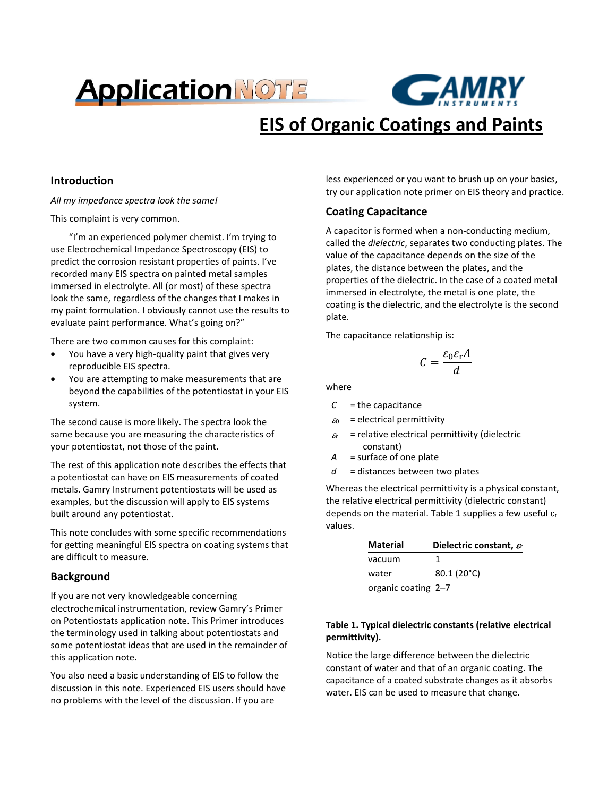# **Application NOTE**



# **EIS of Organic Coatings and Paints**

# **Introduction**

*All my impedance spectra look the same!*

This complaint is very common.

"I'm an experienced polymer chemist. I'm trying to use Electrochemical Impedance Spectroscopy (EIS) to predict the corrosion resistant properties of paints. I've recorded many EIS spectra on painted metal samples immersed in electrolyte. All (or most) of these spectra look the same, regardless of the changes that I makes in my paint formulation. I obviously cannot use the results to evaluate paint performance. What's going on?"

There are two common causes for this complaint:

- You have a very high-quality paint that gives very reproducible EIS spectra.
- You are attempting to make measurements that are beyond the capabilities of the potentiostat in your EIS system.

The second cause is more likely. The spectra look the same because you are measuring the characteristics of your potentiostat, not those of the paint.

The rest of this application note describes the effects that a potentiostat can have on EIS measurements of coated metals. Gamry Instrument potentiostats will be used as examples, but the discussion will apply to EIS systems built around any potentiostat.

This note concludes with some specific recommendations for getting meaningful EIS spectra on coating systems that are difficult to measure.

# **Background**

If you are not very knowledgeable concerning electrochemical instrumentation, review Gamry's Primer on Potentiostats application note. This Primer introduces the terminology used in talking about potentiostats and some potentiostat ideas that are used in the remainder of this application note.

You also need a basic understanding of EIS to follow the discussion in this note. Experienced EIS users should have no problems with the level of the discussion. If you are

less experienced or you want to brush up on your basics, try our application note primer on EIS theory and practice.

# **Coating Capacitance**

A capacitor is formed when a non-conducting medium, called the *dielectric*, separates two conducting plates. The value of the capacitance depends on the size of the plates, the distance between the plates, and the properties of the dielectric. In the case of a coated metal immersed in electrolyte, the metal is one plate, the coating is the dielectric, and the electrolyte is the second plate.

The capacitance relationship is:

$$
C = \frac{\varepsilon_0 \varepsilon_r A}{d}
$$

where

- *C* = the capacitance
- $\varepsilon_0$  = electrical permittivity
- $\varepsilon_r$  = relative electrical permittivity (dielectric constant)
- *A* = surface of one plate
- *d* = distances between two plates

Whereas the electrical permittivity is a physical constant, the relative electrical permittivity (dielectric constant) depends on the material. Table 1 supplies a few useful  $\varepsilon_r$ values.

| <b>Material</b>     | Dielectric constant, $\varepsilon$ |
|---------------------|------------------------------------|
| vacuum              | 1                                  |
| water               | 80.1 (20°C)                        |
| organic coating 2-7 |                                    |

# **Table 1. Typical dielectric constants (relative electrical permittivity).**

Notice the large difference between the dielectric constant of water and that of an organic coating. The capacitance of a coated substrate changes as it absorbs water. EIS can be used to measure that change.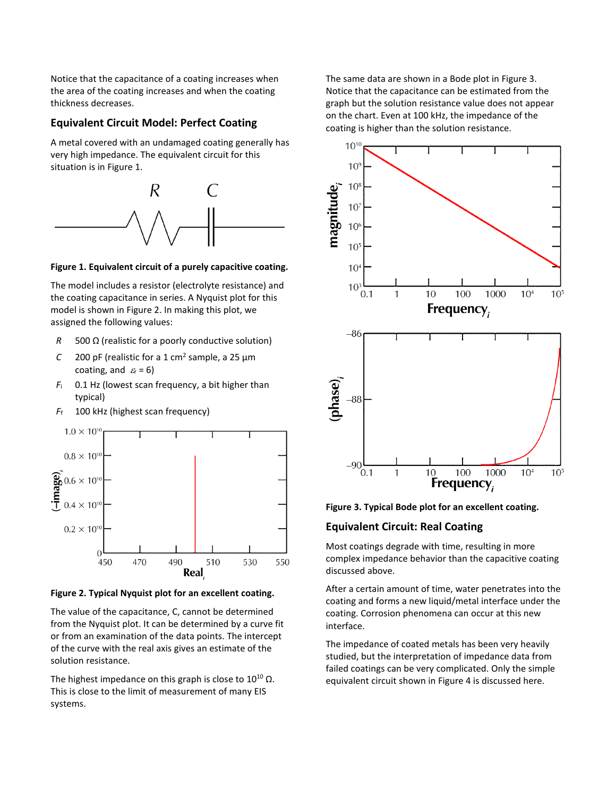Notice that the capacitance of a coating increases when the area of the coating increases and when the coating thickness decreases.

# **Equivalent Circuit Model: Perfect Coating**

A metal covered with an undamaged coating generally has very high impedance. The equivalent circuit for this situation is in Figure 1.



#### **Figure 1. Equivalent circuit of a purely capacitive coating.**

The model includes a resistor (electrolyte resistance) and the coating capacitance in series. A Nyquist plot for this model is shown in Figure 2. In making this plot, we assigned the following values:

- *R* 500 Ω (realistic for a poorly conductive solution)
- *C* 200 pF (realistic for a 1 cm<sup>2</sup> sample, a 25  $\mu$ m coating, and  $\varepsilon_r = 6$ )
- $F_i$  0.1 Hz (lowest scan frequency, a bit higher than typical)
- *F*<sup>f</sup> 100 kHz (highest scan frequency)



**Figure 2. Typical Nyquist plot for an excellent coating.**

The value of the capacitance, C, cannot be determined from the Nyquist plot. It can be determined by a curve fit or from an examination of the data points. The intercept of the curve with the real axis gives an estimate of the solution resistance.

The highest impedance on this graph is close to  $10^{10}$   $\Omega$ . This is close to the limit of measurement of many EIS systems.

The same data are shown in a Bode plot in Figure 3. Notice that the capacitance can be estimated from the graph but the solution resistance value does not appear on the chart. Even at 100 kHz, the impedance of the coating is higher than the solution resistance.



**Figure 3. Typical Bode plot for an excellent coating.**

#### **Equivalent Circuit: Real Coating**

Most coatings degrade with time, resulting in more complex impedance behavior than the capacitive coating discussed above.

After a certain amount of time, water penetrates into the coating and forms a new liquid/metal interface under the coating. Corrosion phenomena can occur at this new interface.

The impedance of coated metals has been very heavily studied, but the interpretation of impedance data from failed coatings can be very complicated. Only the simple equivalent circuit shown in Figure 4 is discussed here.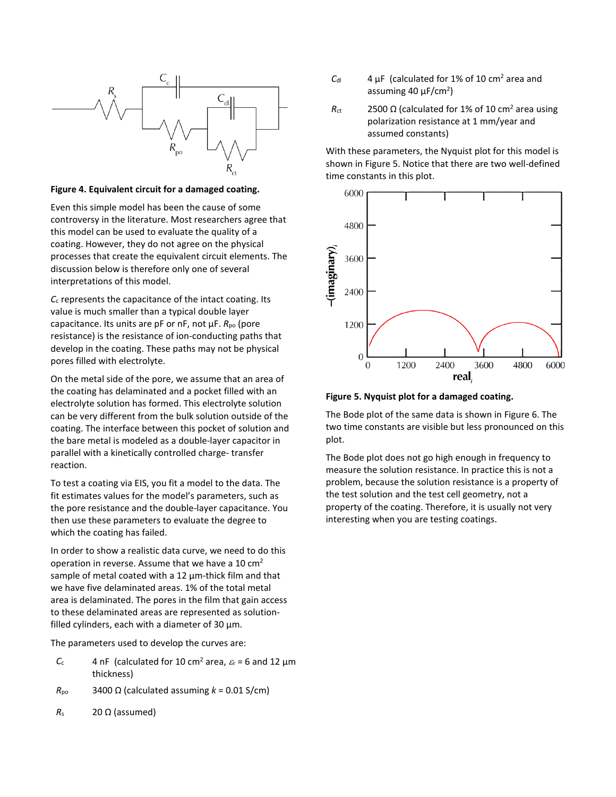

### **Figure 4. Equivalent circuit for a damaged coating.**

Even this simple model has been the cause of some controversy in the literature. Most researchers agree that this model can be used to evaluate the quality of a coating. However, they do not agree on the physical processes that create the equivalent circuit elements. The discussion below is therefore only one of several interpretations of this model.

*C*<sup>c</sup> represents the capacitance of the intact coating. Its value is much smaller than a typical double layer capacitance. Its units are pF or nF, not µF. *R*po (pore resistance) is the resistance of ion-conducting paths that develop in the coating. These paths may not be physical pores filled with electrolyte.

On the metal side of the pore, we assume that an area of the coating has delaminated and a pocket filled with an electrolyte solution has formed. This electrolyte solution can be very different from the bulk solution outside of the coating. The interface between this pocket of solution and the bare metal is modeled as a double-layer capacitor in parallel with a kinetically controlled charge- transfer reaction.

To test a coating via EIS, you fit a model to the data. The fit estimates values for the model's parameters, such as the pore resistance and the double-layer capacitance. You then use these parameters to evaluate the degree to which the coating has failed.

In order to show a realistic data curve, we need to do this operation in reverse. Assume that we have a 10 cm2 sample of metal coated with a 12  $\mu$ m-thick film and that we have five delaminated areas. 1% of the total metal area is delaminated. The pores in the film that gain access to these delaminated areas are represented as solutionfilled cylinders, each with a diameter of 30  $\mu$ m.

The parameters used to develop the curves are:

- $C_c$  4 nF (calculated for 10 cm<sup>2</sup> area,  $\varepsilon_r$  = 6 and 12  $\mu$ m thickness)
- $R_{\text{po}}$  3400  $\Omega$  (calculated assuming  $k = 0.01$  S/cm)
- $R_s$  20 Ω (assumed)
- $C_{\text{dl}}$  4 µF (calculated for 1% of 10 cm<sup>2</sup> area and assuming 40 µF/cm<sup>2</sup>)
- $R_{\text{ct}}$  2500 Ω (calculated for 1% of 10 cm<sup>2</sup> area using polarization resistance at 1 mm/year and assumed constants)

With these parameters, the Nyquist plot for this model is shown in Figure 5. Notice that there are two well-defined time constants in this plot.



**Figure 5. Nyquist plot for a damaged coating.**

The Bode plot of the same data is shown in Figure 6. The two time constants are visible but less pronounced on this plot.

The Bode plot does not go high enough in frequency to measure the solution resistance. In practice this is not a problem, because the solution resistance is a property of the test solution and the test cell geometry, not a property of the coating. Therefore, it is usually not very interesting when you are testing coatings.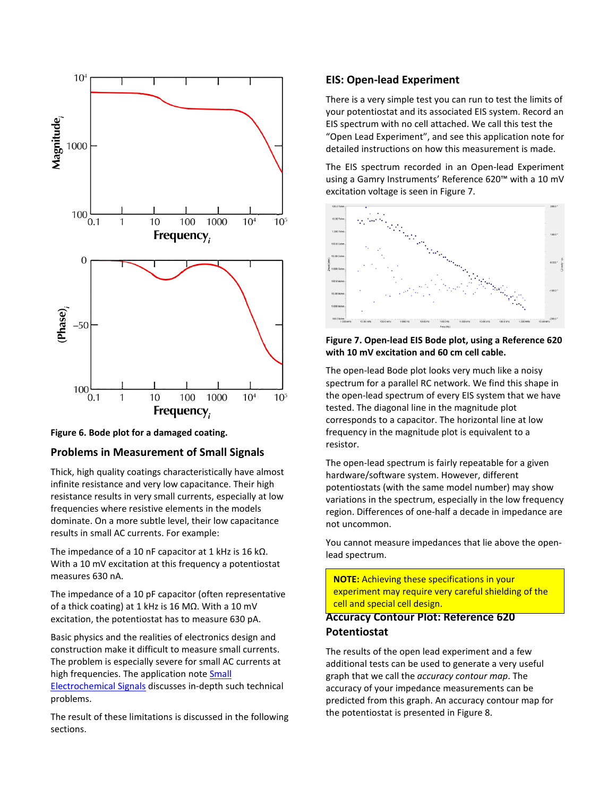

**Figure 6. Bode plot for a damaged coating.** 

# **Problems in Measurement of Small Signals**

Thick, high quality coatings characteristically have almost infinite resistance and very low capacitance. Their high resistance results in very small currents, especially at low frequencies where resistive elements in the models dominate. On a more subtle level, their low capacitance results in small AC currents. For example:

The impedance of a 10 nF capacitor at 1 kHz is 16 kΩ. With a 10 mV excitation at this frequency a potentiostat measures 630 nA.

The impedance of a 10 pF capacitor (often representative of a thick coating) at 1 kHz is 16 MΩ. With a 10 mV excitation, the potentiostat has to measure 630 pA.

Basic physics and the realities of electronics design and construction make it difficult to measure small currents. The problem is especially severe for small AC currents at high frequencies. The application note Small

[Electrochemical Signals](https://www.google.com/url?sa=t&rct=j&q=&esrc=s&source=web&cd=1&ved=0ahUKEwiY6-KYwu7YAhVBXGMKHdtpCUwQFggrMAA&url=https%3A%2F%2Fwww.gamry.com%2Fassets%2FUploads%2FMeasurement-of-small-Echem-signals-rev-2.pdf&usg=AOvVaw1d_RC3JeY-CAX8pZPS8gLt) discusses in-depth such technical problems.

The result of these limitations is discussed in the following sections.

# **EIS: Open-lead Experiment**

There is a very simple test you can run to test the limits of your potentiostat and its associated EIS system. Record an EIS spectrum with no cell attached. We call this test the "Open Lead Experiment", and see this application note for detailed instructions on how this measurement is made.

The EIS spectrum recorded in an Open-lead Experiment using a Gamry Instruments' Reference 620™ with a 10 mV excitation voltage is seen in Figure 7.



# **Figure 7. Open-lead EIS Bode plot, using a Reference 620 with 10 mV excitation and 60 cm cell cable.**

The open-lead Bode plot looks very much like a noisy spectrum for a parallel RC network. We find this shape in the open-lead spectrum of every EIS system that we have tested. The diagonal line in the magnitude plot corresponds to a capacitor. The horizontal line at low frequency in the magnitude plot is equivalent to a resistor.

The open-lead spectrum is fairly repeatable for a given hardware/software system. However, different potentiostats (with the same model number) may show variations in the spectrum, especially in the low frequency region. Differences of one-half a decade in impedance are not uncommon.

You cannot measure impedances that lie above the openlead spectrum.

**NOTE:** Achieving these specifications in your **EXAMILIAN CHIEF AND INCRESS** and grounding in the experiment may require very careful shielding of the **Experiment may require very earenal sineral** 

# **Accuracy Contour Plot: Reference 620 Potentiostat**

The results of the open lead experiment and a few additional tests can be used to generate a very useful graph that we call the *accuracy contour map*. The accuracy of your impedance measurements can be predicted from this graph. An accuracy contour map for the potentiostat is presented in Figure 8.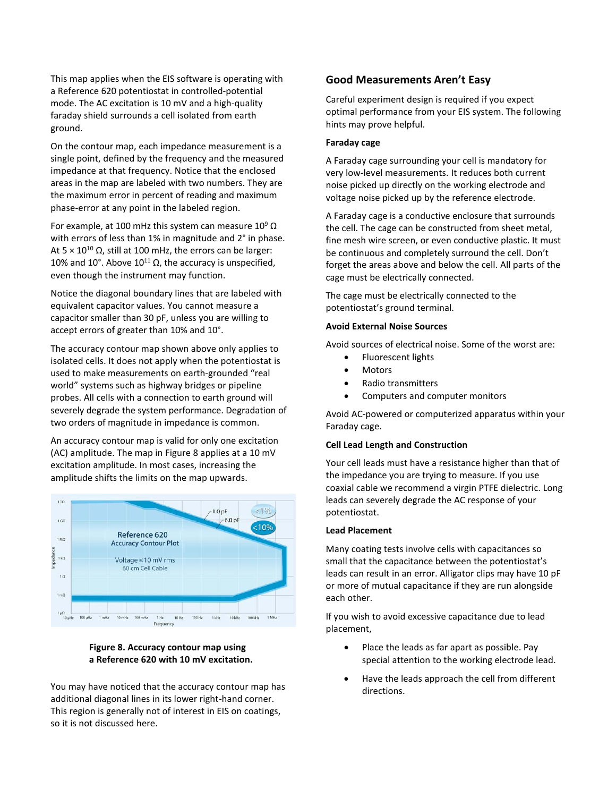This map applies when the EIS software is operating with a Reference 620 potentiostat in controlled-potential mode. The AC excitation is 10 mV and a high-quality faraday shield surrounds a cell isolated from earth ground.

On the contour map, each impedance measurement is a single point, defined by the frequency and the measured impedance at that frequency. Notice that the enclosed areas in the map are labeled with two numbers. They are the maximum error in percent of reading and maximum phase-error at any point in the labeled region.

For example, at 100 mHz this system can measure  $10^9 \Omega$ with errors of less than 1% in magnitude and 2° in phase. At  $5 \times 10^{10}$  Ω, still at 100 mHz, the errors can be larger: 10% and 10°. Above  $10^{11}$  Ω, the accuracy is unspecified, even though the instrument may function.

Notice the diagonal boundary lines that are labeled with equivalent capacitor values. You cannot measure a capacitor smaller than 30 pF, unless you are willing to accept errors of greater than 10% and 10°.

The accuracy contour map shown above only applies to isolated cells. It does not apply when the potentiostat is used to make measurements on earth-grounded "real world" systems such as highway bridges or pipeline probes. All cells with a connection to earth ground will severely degrade the system performance. Degradation of two orders of magnitude in impedance is common.

An accuracy contour map is valid for only one excitation (AC) amplitude. The map in Figure 8 applies at a 10 mV excitation amplitude. In most cases, increasing the amplitude shifts the limits on the map upwards.



# **Figure 8. Accuracy contour map using a Reference 620 with 10 mV excitation.**

You may have noticed that the accuracy contour map has additional diagonal lines in its lower right-hand corner. This region is generally not of interest in EIS on coatings, so it is not discussed here.

# **Good Measurements Aren't Easy**

Careful experiment design is required if you expect optimal performance from your EIS system. The following hints may prove helpful.

### **Faraday cage**

A Faraday cage surrounding your cell is mandatory for very low-level measurements. It reduces both current noise picked up directly on the working electrode and voltage noise picked up by the reference electrode.

A Faraday cage is a conductive enclosure that surrounds the cell. The cage can be constructed from sheet metal, fine mesh wire screen, or even conductive plastic. It must be continuous and completely surround the cell. Don't forget the areas above and below the cell. All parts of the cage must be electrically connected.

The cage must be electrically connected to the potentiostat's ground terminal.

# **Avoid External Noise Sources**

Avoid sources of electrical noise. Some of the worst are:

- Fluorescent lights
- Motors
- Radio transmitters
- Computers and computer monitors

Avoid AC-powered or computerized apparatus within your Faraday cage.

# **Cell Lead Length and Construction**

Your cell leads must have a resistance higher than that of the impedance you are trying to measure. If you use coaxial cable we recommend a virgin PTFE dielectric. Long leads can severely degrade the AC response of your potentiostat.

#### **Lead Placement**

Many coating tests involve cells with capacitances so small that the capacitance between the potentiostat's leads can result in an error. Alligator clips may have 10 pF or more of mutual capacitance if they are run alongside each other.

If you wish to avoid excessive capacitance due to lead placement,

- Place the leads as far apart as possible. Pay special attention to the working electrode lead.
- Have the leads approach the cell from different directions.